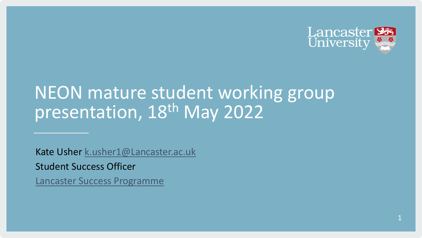

# NEON mature student working group presentation, 18th May 2022

Kate Usher [k.usher1@Lancaster.ac.uk](mailto:k.usher1@lancaster.ac.uk) Student Success Officer [Lancaster Success Programme](https://www.lancaster.ac.uk/widening-participation/lancaster-success-programme/)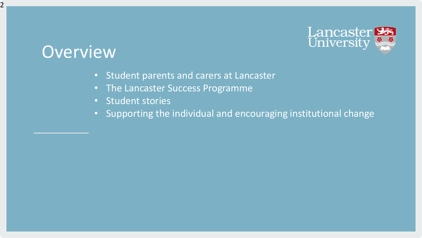

### **Overview**

2

- Student parents and carers at Lancaster
- The Lancaster Success Programme
- Student stories
- Supporting the individual and encouraging institutional change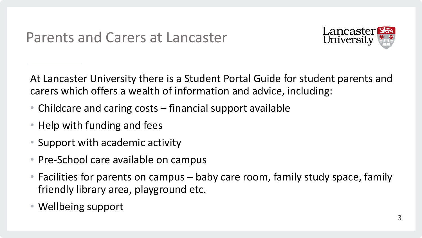

At Lancaster University there is a Student Portal Guide for student parents and carers which offers a wealth of information and advice, including:

- Childcare and caring costs financial support available
- Help with funding and fees
- Support with academic activity
- Pre-School care available on campus
- Facilities for parents on campus baby care room, family study space, family friendly library area, playground etc.
- Wellbeing support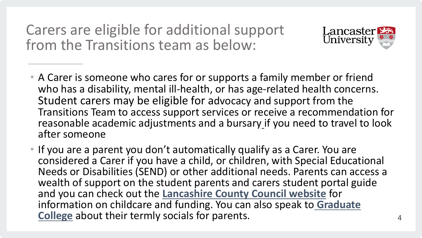Carers are eligible for additional support from the Transitions team as below:



- A Carer is someone who cares for or supports a family member or friend who has a disability, mental ill-health, or has age-related health concerns. Student carers may be eligible for advocacy and support from the Transitions Team to access support services or receive a recommendation for reasonable academic adjustments and a bursar[y](https://www.lancaster.ac.uk/student-and-education-services/money/funding/carers-bursary) if you need to travel to look after someone
- If you are a parent you don't automatically qualify as a Carer. You are considered a Carer if you have a child, or children, with Special Educational Needs or Disabilities (SEND) or other additional needs. Parents can access a wealth of support on the student parents and carers student portal guide and you can check out the **[Lancashire County Council website](http://www.lancashire.gov.uk/children-education-families/childcare-and-family-support/)** for [information on childcare and funding. You can also speak to](mailto:graduateaccommodation@lancaster.ac.uk) **Graduate College** about their termly socials for parents.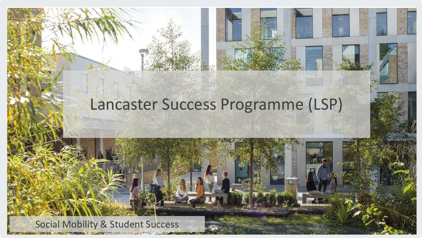## Lancaster Success Programme (LSP)

5

#### Social Mobility & Student Success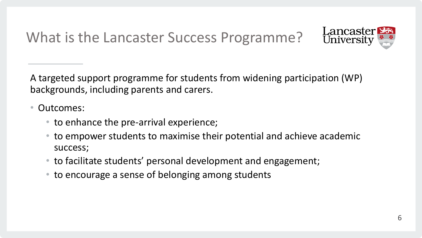What is the Lancaster Success Programme?



A targeted support programme for students from widening participation (WP) backgrounds, including parents and carers.

- Outcomes:
	- to enhance the pre-arrival experience;
	- to empower students to maximise their potential and achieve academic success;
	- to facilitate students' personal development and engagement;
	- to encourage a sense of belonging among students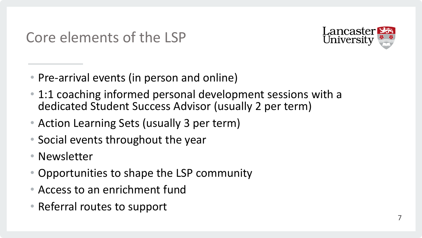

- Pre-arrival events (in person and online)
- 1:1 coaching informed personal development sessions with a dedicated Student Success Advisor (usually 2 per term)
- Action Learning Sets (usually 3 per term)
- Social events throughout the year
- Newsletter
- Opportunities to shape the LSP community
- Access to an enrichment fund
- Referral routes to support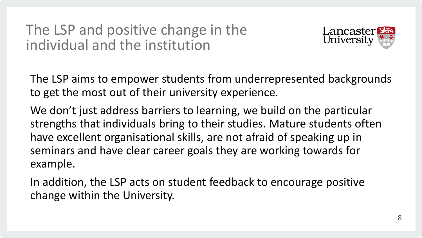The LSP and positive change in the individual and the institution



The LSP aims to empower students from underrepresented backgrounds to get the most out of their university experience.

We don't just address barriers to learning, we build on the particular strengths that individuals bring to their studies. Mature students often have excellent organisational skills, are not afraid of speaking up in seminars and have clear career goals they are working towards for example.

In addition, the LSP acts on student feedback to encourage positive change within the University.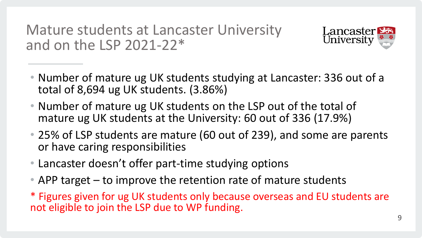Mature students at Lancaster University and on the LSP 2021-22\*



- Number of mature ug UK students studying at Lancaster: 336 out of a total of 8,694 ug UK students. (3.86%)
- Number of mature ug UK students on the LSP out of the total of mature ug UK students at the University: 60 out of 336 (17.9%)
- 25% of LSP students are mature (60 out of 239), and some are parents or have caring responsibilities
- Lancaster doesn't offer part-time studying options
- APP target to improve the retention rate of mature students
- \* Figures given for ug UK students only because overseas and EU students are not eligible to join the LSP due to WP funding.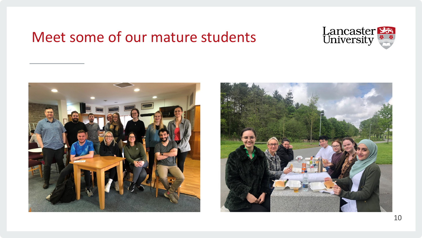#### Meet some of our mature students





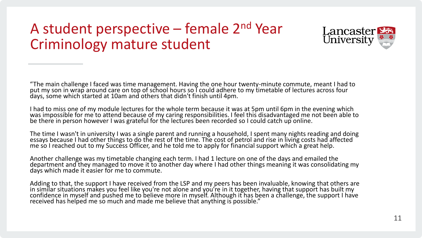#### A student perspective – female 2nd Year Criminology mature student



"The main challenge I faced was time management. Having the one hour twenty-minute commute, meant I had to put my son in wrap around care on top of school hours so I could adhere to my timetable of lectures across four days, some which started at 10am and others that didn't finish until 4pm.

I had to miss one of my module lectures for the whole term because it was at 5pm until 6pm in the evening which was impossible for me to attend because of my caring responsibilities. I feel this disadvantaged me not been able to be there in person however I was grateful for the lectures been recorded so I could catch up online.

The time I wasn't in university I was a single parent and running a household, I spent many nights reading and doing essays because I had other things to do the rest of the time. The cost of petrol and rise in living costs had affected me so I reached out to my Success Officer, and he told me to apply for financial support which a great help.

Another challenge was my timetable changing each term. I had 1 lecture on one of the days and emailed the department and they managed to move it to another day where I had other things meaning it was consolidating my days which made it easier for me to commute.

Adding to that, the support I have received from the LSP and my peers has been invaluable, knowing that others are in similar situations makes you feel like you're not alone and you're in it together, having that support has built my confidence in myself and pushed me to believe more in myself. Although it has been a challenge, the support I have received has helped me so much and made me believe that anything is possible."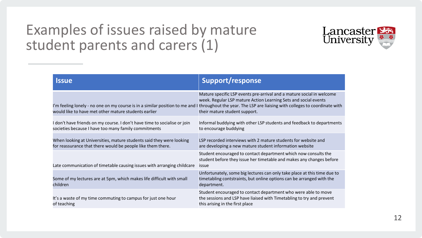#### Examples of issues raised by mature student parents and carers (1)



| <b>Issue</b>                                                                                                                          | <b>Support/response</b>                                                                                                                                                                                                                                 |
|---------------------------------------------------------------------------------------------------------------------------------------|---------------------------------------------------------------------------------------------------------------------------------------------------------------------------------------------------------------------------------------------------------|
| I'm feeling lonely - no one on my course is in a similar position to me and I<br>would like to have met other mature students earlier | Mature specific LSP events pre-arrival and a mature social in welcome<br>week. Regular LSP mature Action Learning Sets and social events<br>throughout the year. The LSP are liaising with colleges to coordinate with<br>their mature student support. |
| I don't have friends on my course. I don't have time to socialise or join<br>societies because I have too many family commitments     | Informal buddying with other LSP students and feedback to departments<br>to encourage buddying                                                                                                                                                          |
| When looking at Universities, mature students said they were looking<br>for reassurance that there would be people like them there.   | LSP recorded interviews with 2 mature students for website and<br>are developing a new mature student information website                                                                                                                               |
| Late communication of timetable causing issues with arranging childcare                                                               | Student encouraged to contact department which now consults the<br>student before they issue her timetable and makes any changes before<br>issue                                                                                                        |
| Some of my lectures are at 5pm, which makes life difficult with small<br>children                                                     | Unfortunately, some big lectures can only take place at this time due to<br>timetabling contstraints, but online options can be arranged with the<br>department.                                                                                        |
| It's a waste of my time commuting to campus for just one hour<br>of teaching                                                          | Student encouraged to contact department who were able to move<br>the sessions and LSP have liaised with Timetabling to try and prevent<br>this arising in the first place                                                                              |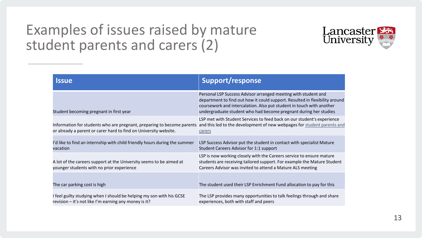#### Examples of issues raised by mature student parents and carers (2)



| <b>Issue</b>                                                                                                                               | Support/response                                                                                                                                                                                                                                                                          |
|--------------------------------------------------------------------------------------------------------------------------------------------|-------------------------------------------------------------------------------------------------------------------------------------------------------------------------------------------------------------------------------------------------------------------------------------------|
| Student becoming pregnant in first year                                                                                                    | Personal LSP Success Advisor arranged meeting with student and<br>department to find out how it could support. Resulted in flexibility around<br>coursework and intercalation. Also put student in touch with another<br>undergraduate student who had become pregnant during her studies |
| Information for students who are pregnant, preparing to become parents<br>or already a parent or carer hard to find on University website. | LSP met with Student Services to feed back on our student's experience<br>and this led to the development of new webpages for student parents and<br>carers                                                                                                                               |
| I'd like to find an internship with child friendly hours during the summer<br>vacation                                                     | LSP Success Advisor put the student in contact with specialist Mature<br>Student Careers Advisor for 1:1 support                                                                                                                                                                          |
| A lot of the careers support at the University seems to be aimed at<br>younger students with no prior experience                           | LSP is now working closely with the Careers service to ensure mature<br>students are receiving tailored support. For example the Mature Student<br>Careers Advisor was invited to attend a Mature ALS meeting                                                                             |
| The car parking cost is high                                                                                                               | The student used their LSP Enrichment Fund allocation to pay for this                                                                                                                                                                                                                     |
| I feel guilty studying when I should be helping my son with his GCSE<br>revision - it's not like I'm earning any money is it?              | The LSP provides many opportunities to talk feelings through and share<br>experiences, both with staff and peers                                                                                                                                                                          |